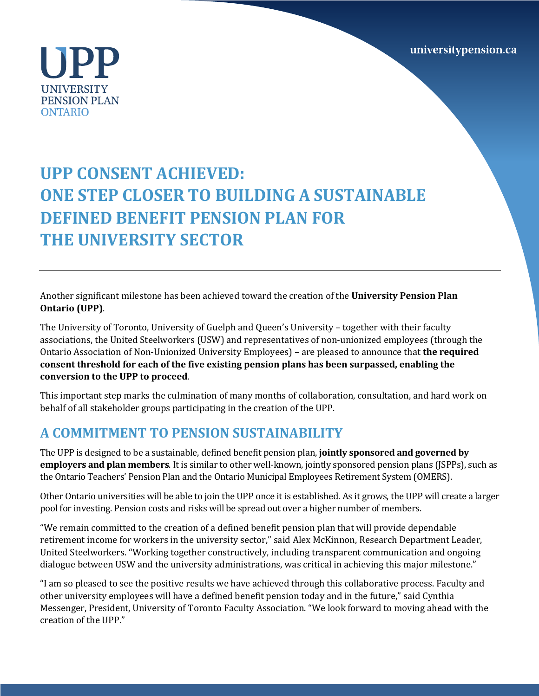universitypension.ca

UPP **UNIVERSITY PENSION PLAN ONTARIO** 

## **UPP CONSENT ACHIEVED: ONE STEP CLOSER TO BUILDING A SUSTAINABLE DEFINED BENEFIT PENSION PLAN FOR THE UNIVERSITY SECTOR**

Another significant milestone has been achieved toward the creation of the **University Pension Plan Ontario (UPP)**. 

The University of Toronto, University of Guelph and Queen's University - together with their faculty associations, the United Steelworkers (USW) and representatives of non-unionized employees (through the Ontario Association of Non-Unionized University Employees) – are pleased to announce that **the required consent threshold for each of the five existing pension plans has been surpassed, enabling the** conversion to the UPP to proceed.

This important step marks the culmination of many months of collaboration, consultation, and hard work on behalf of all stakeholder groups participating in the creation of the UPP.

## **A COMMITMENT TO PENSION SUSTAINABILITY**

The UPP is designed to be a sustainable, defined benefit pension plan, **jointly sponsored and governed by employers and plan members**. It is similar to other well-known, jointly sponsored pension plans (JSPPs), such as the Ontario Teachers' Pension Plan and the Ontario Municipal Employees Retirement System (OMERS).

Other Ontario universities will be able to join the UPP once it is established. As it grows, the UPP will create a larger pool for investing. Pension costs and risks will be spread out over a higher number of members.

"We remain committed to the creation of a defined benefit pension plan that will provide dependable retirement income for workers in the university sector," said Alex McKinnon, Research Department Leader, United Steelworkers. "Working together constructively, including transparent communication and ongoing dialogue between USW and the university administrations, was critical in achieving this major milestone."

"I am so pleased to see the positive results we have achieved through this collaborative process. Faculty and other university employees will have a defined benefit pension today and in the future," said Cynthia Messenger, President, University of Toronto Faculty Association. "We look forward to moving ahead with the creation of the UPP."